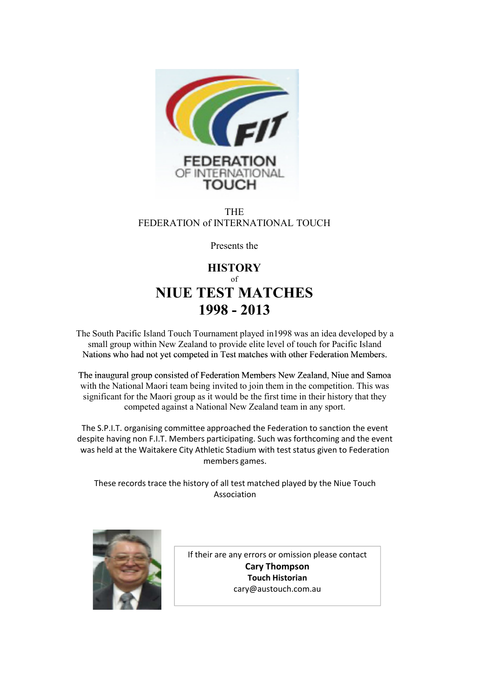

#### THE FEDERATION of INTERNATIONAL TOUCH

Presents the

## **HISTORY** of **NIUE TEST MATCHES 1998 - 2013**

The South Pacific Island Touch Tournament played in1998 was an idea developed by a small group within New Zealand to provide elite level of touch for Pacific Island Nations who had not yet competed in Test matches with other Federation Members.

The inaugural group consisted of Federation Members New Zealand, Niue and Samoa with the National Maori team being invited to join them in the competition. This was significant for the Maori group as it would be the first time in their history that they competed against a National New Zealand team in any sport.

The S.P.I.T. organising committee approached the Federation to sanction the event despite having non F.I.T. Members participating. Such was forthcoming and the event was held at the Waitakere City Athletic Stadium with test status given to Federation members games.

These records trace the history of all test matched played by the Niue Touch Association



If their are any errors or omission please contact **Cary Thompson Touch Historian** cary@austouch.com.au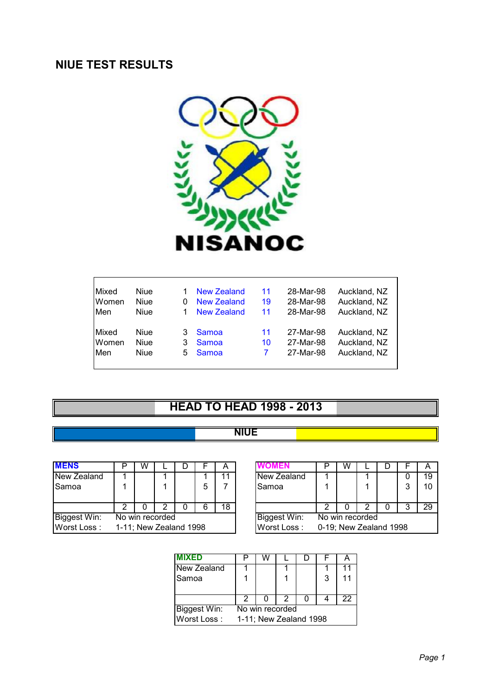## **NIUE TEST RESULTS**



| Mixed                                | <b>Niue</b>                        |              | New Zealand             | 11       | 28-Mar-98                           | Auckland, NZ                                 |
|--------------------------------------|------------------------------------|--------------|-------------------------|----------|-------------------------------------|----------------------------------------------|
| Women                                | <b>Niue</b>                        |              | New Zealand             | 19       | 28-Mar-98                           | Auckland, NZ                                 |
| Men                                  | <b>Niue</b>                        |              | New Zealand             | 11       | 28-Mar-98                           | Auckland, NZ                                 |
| <b>IMixed</b><br>Women<br><b>Men</b> | Niue<br><b>Niue</b><br><b>Niue</b> | 3.<br>3<br>5 | Samoa<br>Samoa<br>Samoa | 11<br>10 | 27-Mar-98<br>27-Mar-98<br>27-Mar-98 | Auckland, NZ<br>Auckland, NZ<br>Auckland, NZ |

# **HEAD TO HEAD 1998 - 2013**

## **NIUE**

| <b>MENS</b>                     |                        | W |  |  |   | A            | UMEN        |                        | W |  |   | $\overline{A}$ |
|---------------------------------|------------------------|---|--|--|---|--------------|-------------|------------------------|---|--|---|----------------|
| New Zealand                     |                        |   |  |  |   | 11           | New Zealand |                        |   |  |   | 19             |
| ISamoa                          |                        |   |  |  | 5 |              | Samoa       |                        |   |  | 2 | 10             |
|                                 |                        |   |  |  | 6 | 18           |             |                        |   |  | ິ | 29             |
| Biggest Win:<br>No win recorded |                        |   |  |  |   | Biggest Win: |             | No win recorded        |   |  |   |                |
| Worst Loss:                     | 1-11; New Zealand 1998 |   |  |  |   |              | Worst Loss: | 0-19; New Zealand 1998 |   |  |   |                |

| D              | W |                      |  |   | A  |  |              |                        | W |  |  |   |    |
|----------------|---|----------------------|--|---|----|--|--------------|------------------------|---|--|--|---|----|
|                |   |                      |  |   |    |  | New Zealand  |                        |   |  |  |   | 19 |
|                |   |                      |  | 5 |    |  | Samoa        |                        |   |  |  | 3 |    |
|                |   |                      |  |   |    |  |              |                        |   |  |  |   |    |
| 2              |   |                      |  |   | 18 |  |              |                        |   |  |  | 3 | 29 |
| o win recorded |   |                      |  |   |    |  | Biggest Win: | No win recorded        |   |  |  |   |    |
|                |   | 11; New Zealand 1998 |  |   |    |  | Worst Loss:  | 0-19; New Zealand 1998 |   |  |  |   |    |

| <b>IMIXED</b> |                        |  |  |  |   |    |  |  |
|---------------|------------------------|--|--|--|---|----|--|--|
| New Zealand   |                        |  |  |  |   | 11 |  |  |
| Samoa         |                        |  |  |  | 3 | 11 |  |  |
|               |                        |  |  |  |   |    |  |  |
|               |                        |  |  |  |   | 22 |  |  |
| Biggest Win:  | No win recorded        |  |  |  |   |    |  |  |
| Worst Loss:   | 1-11; New Zealand 1998 |  |  |  |   |    |  |  |